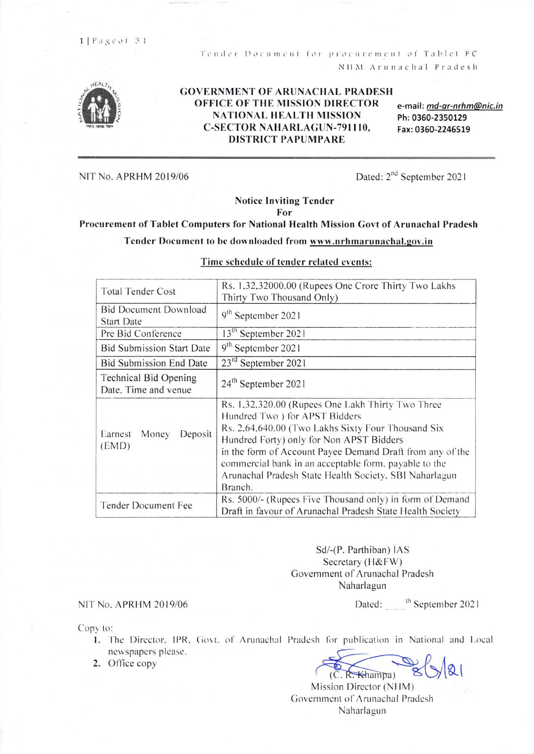Tender Document for procurement of Tablet PC NHM Arunachal Pradesh



#### **GOVERNMENT OF ARUNACHAL PRADESH OFFICE OF THE MISSION DIRECTOR NATIONAL HEALTH MISSION C-SECTOR NAHARLAGUN-791110. DISTRICT PAPUMPARE**

e-mail: md-ar-nrhm@nic.in Ph: 0360-2350129 Fax: 0360-2246519

NIT No. APRHM 2019/06

Dated: 2<sup>nd</sup> September 2021

# **Notice Inviting Tender**

For

# Procurement of Tablet Computers for National Health Mission Govt of Arunachal Pradesh

## Tender Document to be downloaded from www.nrhmarunachal.gov.in

| <b>Total Tender Cost</b>                                                                                                                     | Rs. 1,32,32000.00 (Rupees One Crore Thirty Two Lakhs<br>Thirty Two Thousand Only)                                                                                                                                                                                                                                                                                               |  |
|----------------------------------------------------------------------------------------------------------------------------------------------|---------------------------------------------------------------------------------------------------------------------------------------------------------------------------------------------------------------------------------------------------------------------------------------------------------------------------------------------------------------------------------|--|
| <b>Bid Document Download</b><br><b>Start Date</b>                                                                                            | 9 <sup>th</sup> September 2021                                                                                                                                                                                                                                                                                                                                                  |  |
| Pre Bid Conference                                                                                                                           | 13 <sup>th</sup> September 2021                                                                                                                                                                                                                                                                                                                                                 |  |
| <b>Bid Submission Start Date</b>                                                                                                             | 9 <sup>th</sup> September 2021                                                                                                                                                                                                                                                                                                                                                  |  |
| <b>Bid Submission End Date</b>                                                                                                               | 23 <sup>rd</sup> September 2021                                                                                                                                                                                                                                                                                                                                                 |  |
| <b>Technical Bid Opening</b><br>Date, Time and venue                                                                                         | 24 <sup>th</sup> September 2021                                                                                                                                                                                                                                                                                                                                                 |  |
| Earnest<br>Money<br>Deposit<br>(EMD)                                                                                                         | Rs. 1,32,320.00 (Rupees One Lakh Thirty Two Three<br>Hundred Two) for APST Bidders<br>Rs. 2,64,640.00 (Two Lakhs Sixty Four Thousand Six<br>Hundred Forty) only for Non APST Bidders<br>in the form of Account Payee Demand Draft from any of the<br>commercial bank in an acceptable form, payable to the<br>Arunachal Pradesh State Health Society, SBI Naharlagun<br>Branch. |  |
| Rs. 5000/- (Rupees Five Thousand only) in form of Demand<br>Tender Document Fee<br>Draft in favour of Arunachal Pradesh State Health Society |                                                                                                                                                                                                                                                                                                                                                                                 |  |

## Time schedule of tender related events:

Sd/-(P. Parthiban) IAS Secretary (H&FW) Government of Arunachal Pradesh Naharlagun

NIT No. APRHM 2019/06

Dated: the September 2021

Copy to:

1. The Director, IPR, Govt. of Arunachal Pradesh for publication in National and Local newspapers please.

2. Office copy

 $(C, R,$  Khampa)

Mission Director (NHM) Government of Arunachal Pradesh Naharlagun